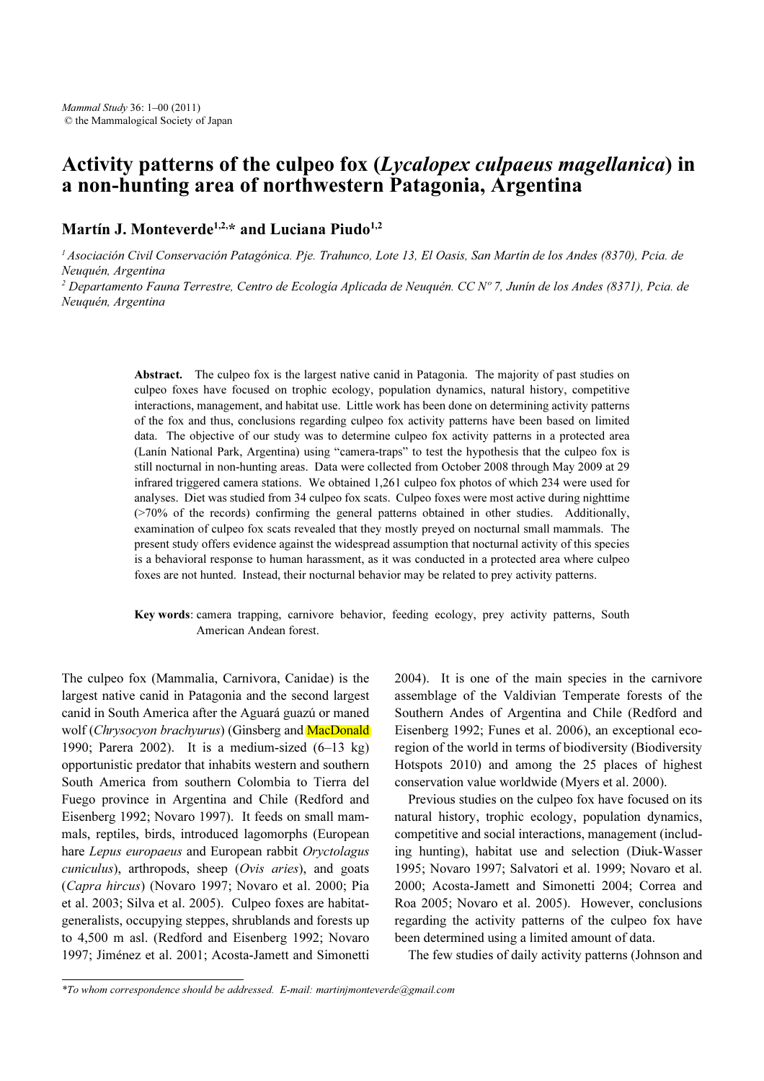# a non-hunting area of northwestern Patagonia. Argentina a non-hunting area of northwestern Patagonia, Argentina

## Martín J. Monteverde<sup>1,2,\*</sup> and Luciana Piudo<sup>1,2</sup>

<sup>1</sup> Asociación Civil Conservación Patagónica. Pje. Trahunco, Lote 13, El Oasis, San Martín de los Andes (8370), Pcia. de Neuquén, Argentina

<sup>2</sup> Departamento Fauna Terrestre, Centro de Ecología Aplicada de Neuquén. CC N° 7, Junín de los Andes (8371), Pcia. de Neuquén, Argentina

> Abstract. The culpeo fox is the largest native canid in Patagonia. The majority of past studies on culpeo foxes have focused on trophic ecology, population dynamics, natural history, competitive interactions, management, and habitat use. Little work has been done on determining activity patterns of the fox and thus, conclusions regarding culpeo fox activity patterns have been based on limited data. The objective of our study was to determine culpeo fox activity patterns in a protected area (Lanín National Park, Argentina) using "camera-traps" to test the hypothesis that the culpeo fox is still nocturnal in non-hunting areas. Data were collected from October 2008 through May 2009 at 29 infrared triggered camera stations. We obtained 1,261 culpeo fox photos of which 234 were used for analyses. Diet was studied from 34 culpeo fox scats. Culpeo foxes were most active during nighttime (>70% of the records) confirming the general patterns obtained in other studies. Additionally, examination of culpeo fox scats revealed that they mostly preyed on nocturnal small mammals. The present study offers evidence against the widespread assumption that nocturnal activity of this species is a behavioral response to human harassment, as it was conducted in a protected area where culpeo foxes are not hunted. Instead, their nocturnal behavior may be related to prey activity patterns.

#### Key words: camera trapping, carnivore behavior, feeding ecology, prey activity patterns, South American Andean forest.

The culpeo fox (Mammalia, Carnivora, Canidae) is the largest native canid in Patagonia and the second largest canid in South America after the Aguará guazú or maned wolf (Chrysocyon brachyurus) (Ginsberg and MacDonald 1990; Parera 2002). It is a medium-sized  $(6-13 \text{ kg})$ opportunistic predator that inhabits western and southern South America from southern Colombia to Tierra del Fuego province in Argentina and Chile (Redford and Eisenberg 1992; Novaro 1997). It feeds on small mammals, reptiles, birds, introduced lagomorphs (European hare Lepus europaeus and European rabbit Oryctolagus cuniculus), arthropods, sheep (Ovis aries), and goats (Capra hircus) (Novaro 1997; Novaro et al. 2000; Pia et al. 2003; Silva et al. 2005). Culpeo foxes are habitatgeneralists, occupying steppes, shrublands and forests up to 4,500 m asl. (Redford and Eisenberg 1992; Novaro 1997; Jiménez et al. 2001; Acosta-Jamett and Simonetti

2004). It is one of the main species in the carnivore assemblage of the Valdivian Temperate forests of the Southern Andes of Argentina and Chile (Redford and Eisenberg 1992; Funes et al. 2006), an exceptional ecoregion of the world in terms of biodiversity (Biodiversity Hotspots 2010) and among the 25 places of highest conservation value worldwide (Myers et al. 2000).

Previous studies on the culpeo fox have focused on its natural history, trophic ecology, population dynamics, competitive and social interactions, management (including hunting), habitat use and selection (Diuk-Wasser 1995; Novaro 1997; Salvatori et al. 1999; Novaro et al. 2000; Acosta-Jamett and Simonetti 2004; Correa and Roa 2005; Novaro et al. 2005). However, conclusions regarding the activity patterns of the culpeo fox have been determined using a limited amount of data.

The few studies of daily activity patterns (Johnson and

<sup>\*</sup>To whom correspondence should be addressed. E-mail: martinjmonteverde@gmail.com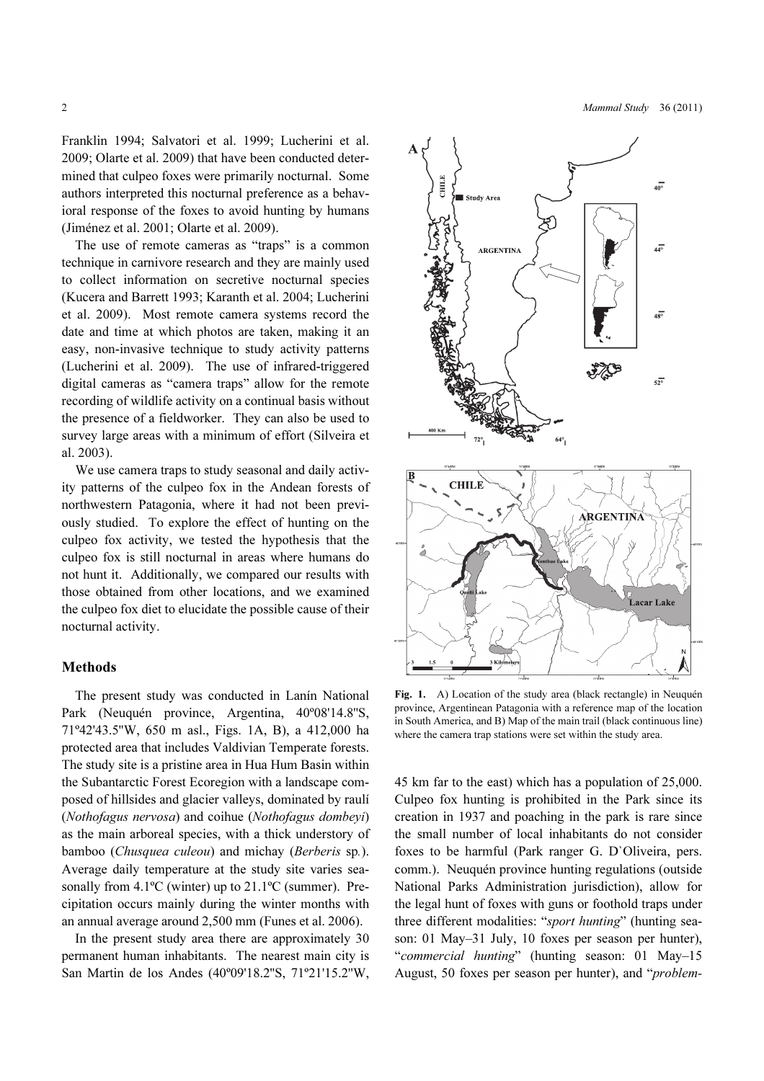2 Mammal Study 36 (2011)

Franklin 1994; Salvatori et al. 1999; Lucherini et al. 2009; Olarte et al. 2009) that have been conducted determined that culpeo foxes were primarily nocturnal. Some authors interpreted this nocturnal preference as a behavioral response of the foxes to avoid hunting by humans (Jiménez et al. 2001; Olarte et al. 2009).

The use of remote cameras as "traps" is a common technique in carnivore research and they are mainly used to collect information on secretive nocturnal species (Kucera and Barrett 1993; Karanth et al. 2004; Lucherini et al. 2009). Most remote camera systems record the date and time at which photos are taken, making it an easy, non-invasive technique to study activity patterns (Lucherini et al. 2009). The use of infrared-triggered digital cameras as "camera traps" allow for the remote recording of wildlife activity on a continual basis without the presence of a fieldworker. They can also be used to survey large areas with a minimum of effort (Silveira et al. 2003).

We use camera traps to study seasonal and daily activity patterns of the culpeo fox in the Andean forests of northwestern Patagonia, where it had not been previously studied. To explore the effect of hunting on the culpeo fox activity, we tested the hypothesis that the culpeo fox is still nocturnal in areas where humans do not hunt it. Additionally, we compared our results with those obtained from other locations, and we examined the culpeo fox diet to elucidate the possible cause of their nocturnal activity.

## Methods

The present study was conducted in Lanín National Park (Neuquén province, Argentina, 40º08'14.8''S, 71º42'43.5''W, 650 m asl., Figs. 1A, B), a 412,000 ha protected area that includes Valdivian Temperate forests. The study site is a pristine area in Hua Hum Basin within the Subantarctic Forest Ecoregion with a landscape composed of hillsides and glacier valleys, dominated by raulí (Nothofagus nervosa) and coihue (Nothofagus dombeyi) as the main arboreal species, with a thick understory of bamboo (Chusquea culeou) and michay (Berberis sp.). Average daily temperature at the study site varies seasonally from  $4.1^{\circ}$ C (winter) up to  $21.1^{\circ}$ C (summer). Precipitation occurs mainly during the winter months with an annual average around 2,500 mm (Funes et al. 2006).

In the present study area there are approximately 30 permanent human inhabitants. The nearest main city is San Martin de los Andes (40º09'18.2''S, 71º21'15.2''W,



Fig. 1. A) Location of the study area (black rectangle) in Neuquén province, Argentinean Patagonia with a reference map of the location in South America, and B) Map of the main trail (black continuous line) where the camera trap stations were set within the study area.

45 km far to the east) which has a population of 25,000. Culpeo fox hunting is prohibited in the Park since its creation in 1937 and poaching in the park is rare since the small number of local inhabitants do not consider foxes to be harmful (Park ranger G. D`Oliveira, pers. comm.). Neuquén province hunting regulations (outside National Parks Administration jurisdiction), allow for the legal hunt of foxes with guns or foothold traps under three different modalities: "sport hunting" (hunting season: 01 May–31 July, 10 foxes per season per hunter), "commercial hunting" (hunting season: 01 May–15 August, 50 foxes per season per hunter), and "problem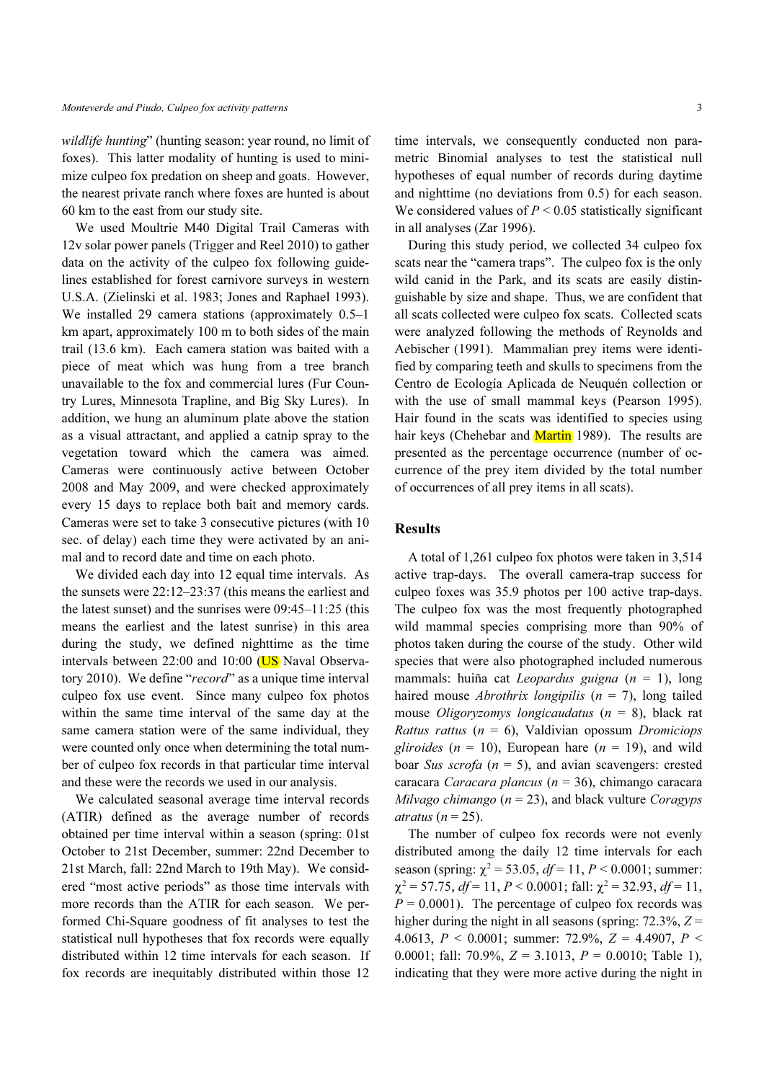wildlife hunting" (hunting season: year round, no limit of foxes). This latter modality of hunting is used to minimize culpeo fox predation on sheep and goats. However, the nearest private ranch where foxes are hunted is about 60 km to the east from our study site.

We used Moultrie M40 Digital Trail Cameras with 12v solar power panels (Trigger and Reel 2010) to gather data on the activity of the culpeo fox following guidelines established for forest carnivore surveys in western U.S.A. (Zielinski et al. 1983; Jones and Raphael 1993). We installed 29 camera stations (approximately 0.5–1 km apart, approximately 100 m to both sides of the main trail (13.6 km). Each camera station was baited with a piece of meat which was hung from a tree branch unavailable to the fox and commercial lures (Fur Country Lures, Minnesota Trapline, and Big Sky Lures). In addition, we hung an aluminum plate above the station as a visual attractant, and applied a catnip spray to the vegetation toward which the camera was aimed. Cameras were continuously active between October 2008 and May 2009, and were checked approximately every 15 days to replace both bait and memory cards. Cameras were set to take 3 consecutive pictures (with 10 sec. of delay) each time they were activated by an animal and to record date and time on each photo.

We divided each day into 12 equal time intervals. As the sunsets were 22:12–23:37 (this means the earliest and the latest sunset) and the sunrises were 09:45–11:25 (this means the earliest and the latest sunrise) in this area during the study, we defined nighttime as the time intervals between 22:00 and 10:00 (US Naval Observatory 2010). We define "record" as a unique time interval culpeo fox use event. Since many culpeo fox photos within the same time interval of the same day at the same camera station were of the same individual, they were counted only once when determining the total number of culpeo fox records in that particular time interval and these were the records we used in our analysis.

We calculated seasonal average time interval records (ATIR) defined as the average number of records obtained per time interval within a season (spring: 01st October to 21st December, summer: 22nd December to 21st March, fall: 22nd March to 19th May). We considered "most active periods" as those time intervals with more records than the ATIR for each season. We performed Chi-Square goodness of fit analyses to test the statistical null hypotheses that fox records were equally distributed within 12 time intervals for each season. If fox records are inequitably distributed within those 12

time intervals, we consequently conducted non parametric Binomial analyses to test the statistical null hypotheses of equal number of records during daytime and nighttime (no deviations from 0.5) for each season. We considered values of  $P \le 0.05$  statistically significant in all analyses (Zar 1996).

During this study period, we collected 34 culpeo fox scats near the "camera traps". The culpeo fox is the only wild canid in the Park, and its scats are easily distinguishable by size and shape. Thus, we are confident that all scats collected were culpeo fox scats. Collected scats were analyzed following the methods of Reynolds and Aebischer (1991). Mammalian prey items were identified by comparing teeth and skulls to specimens from the Centro de Ecología Aplicada de Neuquén collection or with the use of small mammal keys (Pearson 1995). Hair found in the scats was identified to species using hair keys (Chehebar and Martin 1989). The results are presented as the percentage occurrence (number of occurrence of the prey item divided by the total number of occurrences of all prey items in all scats).

## **Results**

A total of 1,261 culpeo fox photos were taken in 3,514 active trap-days. The overall camera-trap success for culpeo foxes was 35.9 photos per 100 active trap-days. The culpeo fox was the most frequently photographed wild mammal species comprising more than 90% of photos taken during the course of the study. Other wild species that were also photographed included numerous mammals: huiña cat *Leopardus guigna*  $(n = 1)$ , long haired mouse *Abrothrix longipilis* ( $n = 7$ ), long tailed mouse *Oligoryzomys longicaudatus* ( $n = 8$ ), black rat Rattus rattus ( $n = 6$ ), Valdivian opossum Dromiciops gliroides ( $n = 10$ ), European hare ( $n = 19$ ), and wild boar Sus scrofa ( $n = 5$ ), and avian scavengers: crested caracara Caracara plancus ( $n = 36$ ), chimango caracara Milvago chimango ( $n = 23$ ), and black vulture Coragyps atratus ( $n = 25$ ).

The number of culpeo fox records were not evenly distributed among the daily 12 time intervals for each season (spring:  $\chi^2$  = 53.05,  $df$  = 11,  $P$  < 0.0001; summer:  $\chi^2$  = 57.75, df = 11, P < 0.0001; fall:  $\chi^2$  = 32.93, df = 11,  $P = 0.0001$ . The percentage of culpeo fox records was higher during the night in all seasons (spring:  $72.3\%$ ,  $Z =$ 4.0613,  $P < 0.0001$ ; summer: 72.9%,  $Z = 4.4907$ ,  $P <$ 0.0001; fall: 70.9%,  $Z = 3.1013$ ,  $P = 0.0010$ ; Table 1), indicating that they were more active during the night in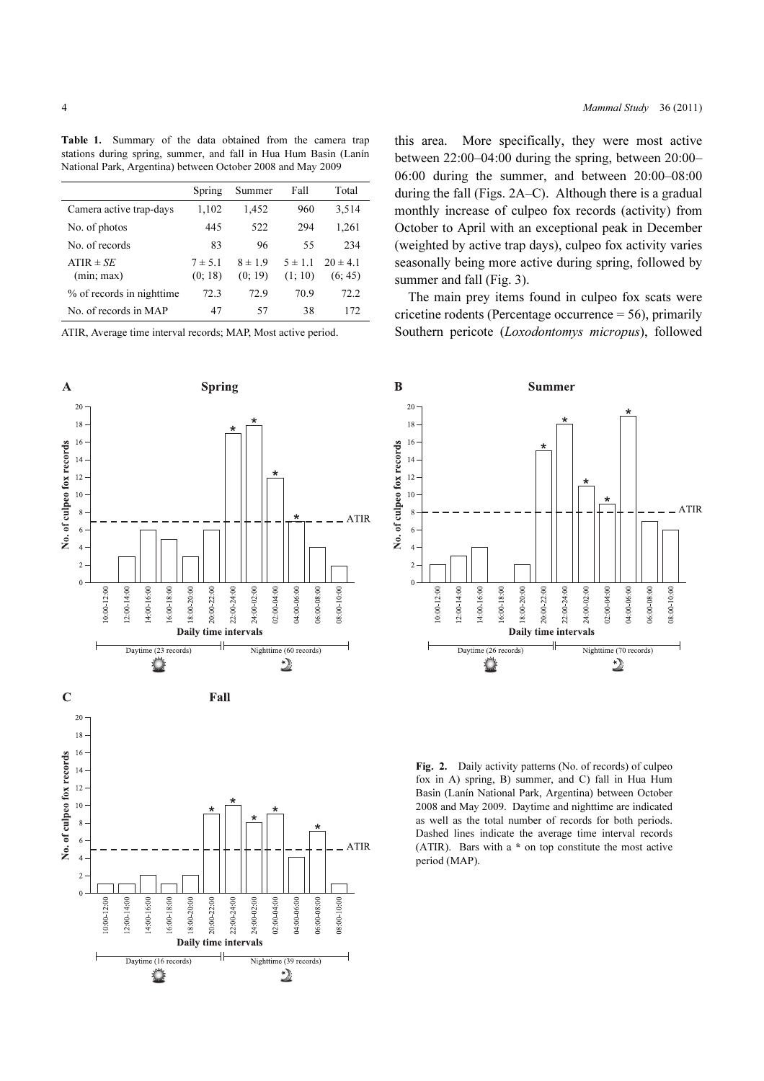Table 1. Summary of the data obtained from the camera trap stations during spring, summer, and fall in Hua Hum Basin (Lanín National Park, Argentina) between October 2008 and May 2009

|                             | Spring                 | Summer                 | Fall                   | Total                   |
|-----------------------------|------------------------|------------------------|------------------------|-------------------------|
| Camera active trap-days     | 1,102                  | 1,452                  | 960                    | 3,514                   |
| No. of photos               | 445                    | 522                    | 294                    | 1,261                   |
| No. of records              | 83                     | 96                     | 55                     | 234                     |
| $ATIR \pm SE$<br>(min; max) | $7 \pm 5.1$<br>(0; 18) | $8 \pm 1.9$<br>(0; 19) | $5 \pm 1.1$<br>(1; 10) | $20 \pm 4.1$<br>(6; 45) |
| % of records in nighttime   | 72.3                   | 72.9                   | 70.9                   | 72.2                    |
| No. of records in MAP       | 47                     | 57                     | 38                     | 172                     |

ATIR, Average time interval records; MAP, Most active period.





this area. More specifically, they were most active between 22:00–04:00 during the spring, between 20:00– 06:00 during the summer, and between 20:00–08:00 during the fall (Figs. 2A–C). Although there is a gradual monthly increase of culpeo fox records (activity) from October to April with an exceptional peak in December (weighted by active trap days), culpeo fox activity varies seasonally being more active during spring, followed by summer and fall (Fig. 3).

The main prey items found in culpeo fox scats were cricetine rodents (Percentage occurrence = 56), primarily Southern pericote (Loxodontomys micropus), followed



Fig. 2. Daily activity patterns (No. of records) of culpeo fox in A) spring, B) summer, and C) fall in Hua Hum Basin (Lanín National Park, Argentina) between October 2008 and May 2009. Daytime and nighttime are indicated as well as the total number of records for both periods. Dashed lines indicate the average time interval records (ATIR). Bars with a \* on top constitute the most active period (MAP).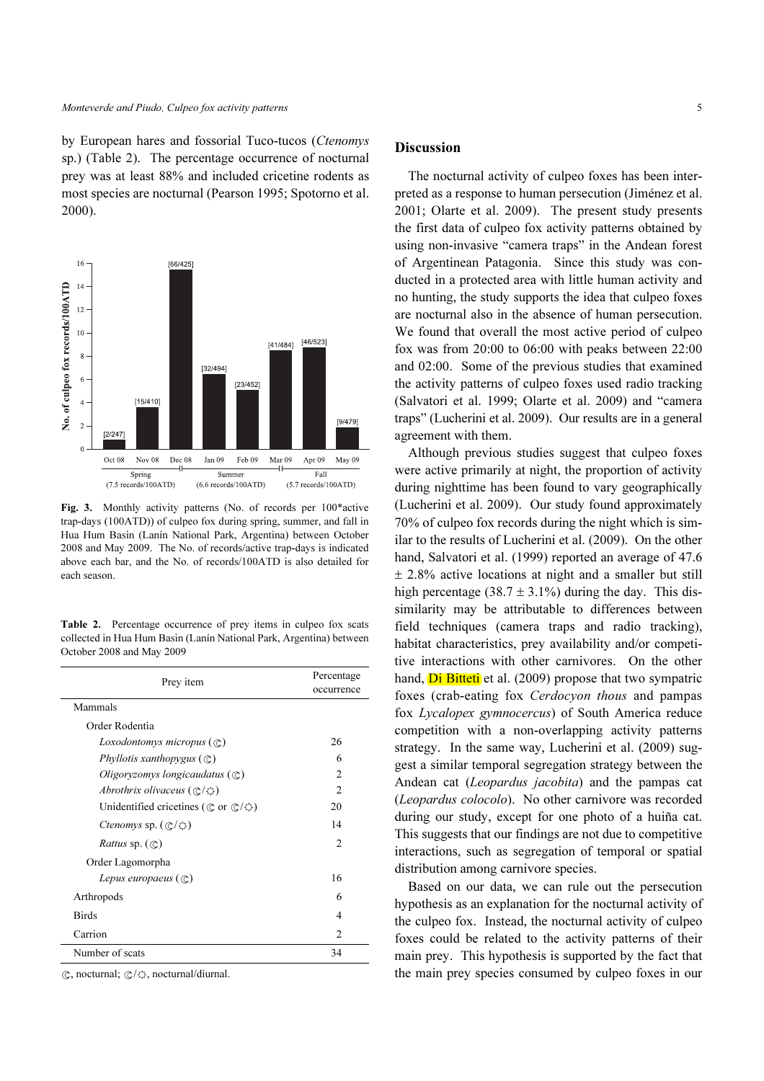by European hares and fossorial Tuco-tucos (Ctenomys sp.) (Table 2). The percentage occurrence of nocturnal prey was at least 88% and included cricetine rodents as most species are nocturnal (Pearson 1995; Spotorno et al. 2000).



Fig. 3. Monthly activity patterns (No. of records per 100\*active trap-days (100ATD)) of culpeo fox during spring, summer, and fall in Hua Hum Basin (Lanín National Park, Argentina) between October 2008 and May 2009. The No. of records/active trap-days is indicated above each bar, and the No. of records/100ATD is also detailed for each season.

Table 2. Percentage occurrence of prey items in culpeo fox scats collected in Hua Hum Basin (Lanín National Park, Argentina) between October 2008 and May 2009

| Prey item                                                        | Percentage<br>occurrence |  |
|------------------------------------------------------------------|--------------------------|--|
| Mammals                                                          |                          |  |
| Order Rodentia                                                   |                          |  |
| <i>Loxodontomys micropus</i> $(\mathbb{C})$                      | 26                       |  |
| Phyllotis xanthopygus $(\mathbb{C})$                             | 6                        |  |
| Oligoryzomys longicaudatus $(\mathbb{C})$                        | 2                        |  |
| Abrothrix olivaceus $(\mathbb{C}/\mathbb{C})$                    | 2                        |  |
| Unidentified cricetines ( $\mathbb C$ or $\mathbb C/\mathbb O$ ) | 20                       |  |
| <i>Ctenomys sp.</i> $(\mathbb{C}/\mathbb{C})$                    | 14                       |  |
| <i>Rattus</i> sp. $(\mathbb{C})$                                 | $\mathfrak{D}$           |  |
| Order Lagomorpha                                                 |                          |  |
| Lepus europaeus $(\mathbb{C})$                                   | 16                       |  |
| Arthropods                                                       | 6                        |  |
| <b>Birds</b>                                                     | 4                        |  |
| Carrion                                                          | $\mathcal{D}$            |  |
| Number of scats                                                  | 34                       |  |

 $\mathbb{C}$ , nocturnal;  $\mathbb{C}/\mathbb{O}$ , nocturnal/diurnal.

#### **Discussion**

The nocturnal activity of culpeo foxes has been interpreted as a response to human persecution (Jiménez et al. 2001; Olarte et al. 2009). The present study presents the first data of culpeo fox activity patterns obtained by using non-invasive "camera traps" in the Andean forest of Argentinean Patagonia. Since this study was conducted in a protected area with little human activity and no hunting, the study supports the idea that culpeo foxes are nocturnal also in the absence of human persecution. We found that overall the most active period of culpeo fox was from 20:00 to 06:00 with peaks between 22:00 and 02:00. Some of the previous studies that examined the activity patterns of culpeo foxes used radio tracking (Salvatori et al. 1999; Olarte et al. 2009) and "camera traps" (Lucherini et al. 2009). Our results are in a general agreement with them.

Although previous studies suggest that culpeo foxes were active primarily at night, the proportion of activity during nighttime has been found to vary geographically (Lucherini et al. 2009). Our study found approximately 70% of culpeo fox records during the night which is similar to the results of Lucherini et al. (2009). On the other hand, Salvatori et al. (1999) reported an average of 47.6  $\pm$  2.8% active locations at night and a smaller but still high percentage (38.7  $\pm$  3.1%) during the day. This dissimilarity may be attributable to differences between field techniques (camera traps and radio tracking), habitat characteristics, prey availability and/or competitive interactions with other carnivores. On the other hand, **Di Bitteti** et al. (2009) propose that two sympatric foxes (crab-eating fox Cerdocyon thous and pampas fox Lycalopex gymnocercus) of South America reduce competition with a non-overlapping activity patterns strategy. In the same way, Lucherini et al. (2009) suggest a similar temporal segregation strategy between the Andean cat (Leopardus jacobita) and the pampas cat (Leopardus colocolo). No other carnivore was recorded during our study, except for one photo of a huiña cat. This suggests that our findings are not due to competitive interactions, such as segregation of temporal or spatial distribution among carnivore species.

Based on our data, we can rule out the persecution hypothesis as an explanation for the nocturnal activity of the culpeo fox. Instead, the nocturnal activity of culpeo foxes could be related to the activity patterns of their main prey. This hypothesis is supported by the fact that the main prey species consumed by culpeo foxes in our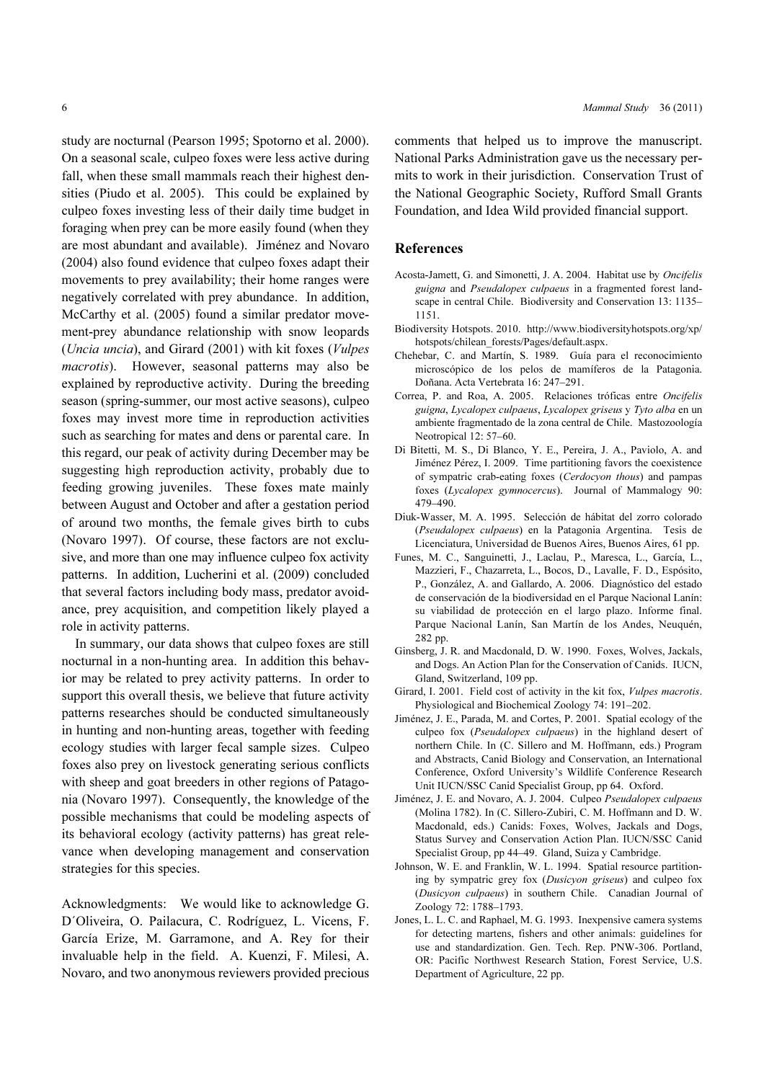study are nocturnal (Pearson 1995; Spotorno et al. 2000). On a seasonal scale, culpeo foxes were less active during fall, when these small mammals reach their highest densities (Piudo et al. 2005). This could be explained by culpeo foxes investing less of their daily time budget in foraging when prey can be more easily found (when they are most abundant and available). Jiménez and Novaro (2004) also found evidence that culpeo foxes adapt their movements to prey availability; their home ranges were negatively correlated with prey abundance. In addition, McCarthy et al. (2005) found a similar predator movement-prey abundance relationship with snow leopards (Uncia uncia), and Girard (2001) with kit foxes (Vulpes macrotis). However, seasonal patterns may also be explained by reproductive activity. During the breeding season (spring-summer, our most active seasons), culpeo foxes may invest more time in reproduction activities such as searching for mates and dens or parental care. In this regard, our peak of activity during December may be suggesting high reproduction activity, probably due to feeding growing juveniles. These foxes mate mainly between August and October and after a gestation period of around two months, the female gives birth to cubs (Novaro 1997). Of course, these factors are not exclusive, and more than one may influence culpeo fox activity patterns. In addition, Lucherini et al. (2009) concluded that several factors including body mass, predator avoidance, prey acquisition, and competition likely played a role in activity patterns.

In summary, our data shows that culpeo foxes are still nocturnal in a non-hunting area. In addition this behavior may be related to prey activity patterns. In order to support this overall thesis, we believe that future activity patterns researches should be conducted simultaneously in hunting and non-hunting areas, together with feeding ecology studies with larger fecal sample sizes. Culpeo foxes also prey on livestock generating serious conflicts with sheep and goat breeders in other regions of Patagonia (Novaro 1997). Consequently, the knowledge of the possible mechanisms that could be modeling aspects of its behavioral ecology (activity patterns) has great relevance when developing management and conservation strategies for this species.

Acknowledgments: We would like to acknowledge G. D´Oliveira, O. Pailacura, C. Rodríguez, L. Vicens, F. García Erize, M. Garramone, and A. Rey for their invaluable help in the field. A. Kuenzi, F. Milesi, A. Novaro, and two anonymous reviewers provided precious

comments that helped us to improve the manuscript. National Parks Administration gave us the necessary permits to work in their jurisdiction. Conservation Trust of the National Geographic Society, Rufford Small Grants Foundation, and Idea Wild provided financial support.

### References

- Acosta-Jamett, G. and Simonetti, J. A. 2004. Habitat use by Oncifelis guigna and Pseudalopex culpaeus in a fragmented forest landscape in central Chile. Biodiversity and Conservation 13: 1135– 1151.
- Biodiversity Hotspots. 2010. http://www.biodiversityhotspots.org/xp/ hotspots/chilean\_forests/Pages/default.aspx.
- Chehebar, C. and Martín, S. 1989. Guía para el reconocimiento microscópico de los pelos de mamíferos de la Patagonia. Doñana. Acta Vertebrata 16: 247–291.
- Correa, P. and Roa, A. 2005. Relaciones tróficas entre Oncifelis guigna, Lycalopex culpaeus, Lycalopex griseus y Tyto alba en un ambiente fragmentado de la zona central de Chile. Mastozoología Neotropical 12: 57–60.
- Di Bitetti, M. S., Di Blanco, Y. E., Pereira, J. A., Paviolo, A. and Jiménez Pérez, I. 2009. Time partitioning favors the coexistence of sympatric crab-eating foxes (Cerdocyon thous) and pampas foxes (Lycalopex gymnocercus). Journal of Mammalogy 90: 479–490.
- Diuk-Wasser, M. A. 1995. Selección de hábitat del zorro colorado (Pseudalopex culpaeus) en la Patagonia Argentina. Tesis de Licenciatura, Universidad de Buenos Aires, Buenos Aires, 61 pp.
- Funes, M. C., Sanguinetti, J., Laclau, P., Maresca, L., García, L., Mazzieri, F., Chazarreta, L., Bocos, D., Lavalle, F. D., Espósito, P., González, A. and Gallardo, A. 2006. Diagnóstico del estado de conservación de la biodiversidad en el Parque Nacional Lanín: su viabilidad de protección en el largo plazo. Informe final. Parque Nacional Lanín, San Martín de los Andes, Neuquén, 282 pp.
- Ginsberg, J. R. and Macdonald, D. W. 1990. Foxes, Wolves, Jackals, and Dogs. An Action Plan for the Conservation of Canids. IUCN, Gland, Switzerland, 109 pp.
- Girard, I. 2001. Field cost of activity in the kit fox, Vulpes macrotis. Physiological and Biochemical Zoology 74: 191–202.
- Jiménez, J. E., Parada, M. and Cortes, P. 2001. Spatial ecology of the culpeo fox (Pseudalopex culpaeus) in the highland desert of northern Chile. In (C. Sillero and M. Hoffmann, eds.) Program and Abstracts, Canid Biology and Conservation, an International Conference, Oxford University's Wildlife Conference Research Unit IUCN/SSC Canid Specialist Group, pp 64. Oxford.
- Jiménez, J. E. and Novaro, A. J. 2004. Culpeo Pseudalopex culpaeus (Molina 1782). In (C. Sillero-Zubiri, C. M. Hoffmann and D. W. Macdonald, eds.) Canids: Foxes, Wolves, Jackals and Dogs, Status Survey and Conservation Action Plan. IUCN/SSC Canid Specialist Group, pp 44–49. Gland, Suiza y Cambridge.
- Johnson, W. E. and Franklin, W. L. 1994. Spatial resource partitioning by sympatric grey fox (Dusicyon griseus) and culpeo fox (Dusicyon culpaeus) in southern Chile. Canadian Journal of Zoology 72: 1788–1793.
- Jones, L. L. C. and Raphael, M. G. 1993. Inexpensive camera systems for detecting martens, fishers and other animals: guidelines for use and standardization. Gen. Tech. Rep. PNW-306. Portland, OR: Pacific Northwest Research Station, Forest Service, U.S. Department of Agriculture, 22 pp.